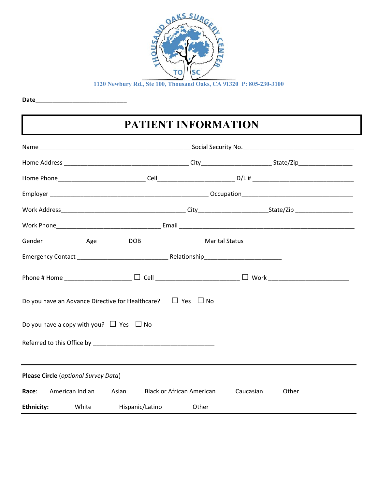

**Date**\_\_\_\_\_\_\_\_\_\_\_\_\_\_\_\_\_\_\_\_\_\_\_\_\_\_\_

# **PATIENT INFORMATION**

| Phone # Home ______________________ $\Box$ Cell ____________________________ $\Box$ Work _______________________________                                                                                                       |                                      |           |       |  |  |
|--------------------------------------------------------------------------------------------------------------------------------------------------------------------------------------------------------------------------------|--------------------------------------|-----------|-------|--|--|
| Do you have an Advance Directive for Healthcare? $\Box$ Yes $\Box$ No                                                                                                                                                          |                                      |           |       |  |  |
| Do you have a copy with you? $\Box$ Yes $\Box$ No                                                                                                                                                                              |                                      |           |       |  |  |
| Referred to this Office by example and the contract of the contract of the contract of the contract of the contract of the contract of the contract of the contract of the contract of the contract of the contract of the con |                                      |           |       |  |  |
|                                                                                                                                                                                                                                | Please Circle (optional Survey Data) |           |       |  |  |
| Race: American Indian Asian                                                                                                                                                                                                    | <b>Black or African American</b>     | Caucasian | Other |  |  |
| <b>Ethnicity:</b> White                                                                                                                                                                                                        | Hispanic/Latino                      | Other     |       |  |  |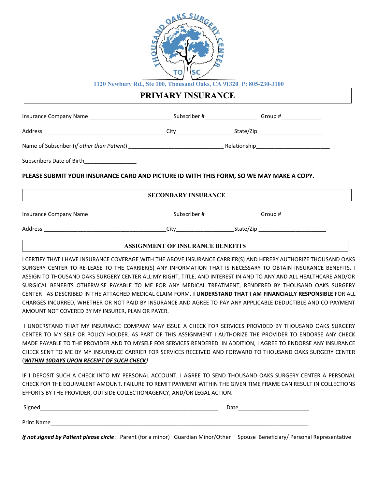

### **PRIMARY INSURANCE**

| Subscribers Date of Birth__________________                                             |                                         |  |
|-----------------------------------------------------------------------------------------|-----------------------------------------|--|
| PLEASE SUBMIT YOUR INSURANCE CARD AND PICTURE ID WITH THIS FORM, SO WE MAY MAKE A COPY. |                                         |  |
|                                                                                         | <b>SECONDARY INSURANCE</b>              |  |
|                                                                                         |                                         |  |
|                                                                                         |                                         |  |
|                                                                                         | <b>ASSIGNMENT OF INSURANCE BENEFITS</b> |  |

I CERTIFY THAT I HAVE INSURANCE COVERAGE WITH THE ABOVE INSURANCE CARRIER(S) AND HEREBY AUTHORIZE THOUSAND OAKS SURGERY CENTER TO RELEASE TO THE CARRIER(S) ANY INFORMATION THAT IS NECESSARY TO OBTAIN INSURANCE BENEFITS. I ASSIGN TO THOUSAND OAKS SURGERY CENTER ALL MY RIGHT, TITLE, AND INTEREST IN AND TO ANY AND ALL HEALTHCARE AND/OR SURGICAL BENEFITS OTHERWISE PAYABLE TO ME FOR ANY MEDICAL TREATMENT, RENDERED BY THOUSAND OAKS SURGERY CENTER AS DESCRIBED IN THE ATTACHED MEDICAL CLAIM FORM. **I UNDERSTAND THAT I AM FINANCIALLY RESPONSIBLE** FOR ALL CHARGES INCURRED, WHETHER OR NOT PAID BY INSURANCE AND AGREE TO PAY ANY APPLICABLE DEDUCTIBLE AND COPAYMENT AMOUNT NOT COVERED BY MY INSURER, PLAN OR PAYER.

 I UNDERSTAND THAT MY INSURANCE COMPANY MAY ISSUE A CHECK FOR SERVICES PROVIDED BY THOUSAND OAKS SURGERY CENTER TO MY SELF OR POLICY HOLDER. AS PART OF THIS ASSIGNMENT I AUTHORIZE THE PROVIDER TO ENDORSE ANY CHECK MADE PAYABLE TO THE PROVIDER AND TO MYSELF FOR SERVICES RENDERED. IN ADDITION, I AGREE TO ENDORSE ANY INSURANCE CHECK SENT TO ME BY MY INSURANCE CARRIER FOR SERVICES RECEIVED AND FORWARD TO THOUSAND OAKS SURGERY CENTER (*WITHIN 10DAYS UPON RECEIPT OF SUCH CHECK)*

IF I DEPOSIT SUCH A CHECK INTO MY PERSONAL ACCOUNT, I AGREE TO SEND THOUSAND OAKS SURGERY CENTER A PERSONAL CHECK FOR THE EQUIVALENT AMOUNT. FAILURE TO REMIT PAYMENT WITHIN THE GIVEN TIME FRAME CAN RESULT IN COLLECTIONS EFFORTS BY THE PROVIDER, OUTSIDE COLLECTIONAGENCY, AND/OR LEGAL ACTION.

| Signed            | Date |
|-------------------|------|
|                   |      |
| <b>Print Name</b> |      |

*If not signed by Patient please circle*: Parent (for a minor) Guardian Minor/Other Spouse Beneficiary/ Personal Representative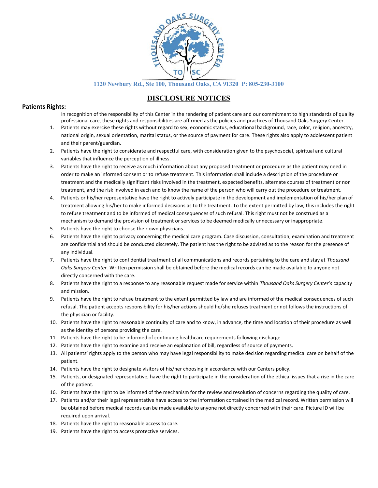

### **DISCLOSURE NOTICES**

### **Patients Rights:**

In recognition of the responsibility of this Center in the rendering of patient care and our commitment to high standards of quality professional care, these rights and responsibilities are affirmed as the policies and practices of Thousand Oaks Surgery Center.

- 1. Patients may exercise these rights without regard to sex, economic status, educational background, race, color, religion, ancestry, national origin, sexual orientation, marital status, or the source of payment for care. These rights also apply to adolescent patient and their parent/guardian.
- 2. Patients have the right to considerate and respectful care, with consideration given to the psychosocial, spiritual and cultural variables that influence the perception of illness.
- 3. Patients have the right to receive as much information about any proposed treatment or procedure as the patient may need in order to make an informed consent or to refuse treatment. This information shall include a description of the procedure or treatment and the medically significant risks involved in the treatment, expected benefits, alternate courses of treatment or non treatment, and the risk involved in each and to know the name of the person who will carry out the procedure or treatment.
- 4. Patients or his/her representative have the right to actively participate in the development and implementation of his/her plan of treatment allowing his/her to make informed decisions as to the treatment. To the extent permitted by law, this includes the right to refuse treatment and to be informed of medical consequences of such refusal. This right must not be construed as a mechanism to demand the provision of treatment or services to be deemed medically unnecessary or inappropriate.
- 5. Patients have the right to choose their own physicians.
- 6. Patients have the right to privacy concerning the medical care program. Case discussion, consultation, examination and treatment are confidential and should be conducted discretely. The patient has the right to be advised as to the reason for the presence of any individual.
- 7. Patients have the right to confidential treatment of all communications and records pertaining to the care and stay at *Thousand Oaks Surgery Center.* Written permission shall be obtained before the medical records can be made available to anyone not directly concerned with the care.
- 8. Patients have the right to a response to any reasonable request made for service within *Thousand Oaks Surgery Center's* capacity and mission.
- 9. Patients have the right to refuse treatment to the extent permitted by law and are informed of the medical consequences of such refusal. The patient accepts responsibility for his/her actions should he/she refuses treatment or not follows the instructions of the physician or facility.
- 10. Patients have the right to reasonable continuity of care and to know, in advance, the time and location of their procedure as well as the identity of persons providing the care.
- 11. Patients have the right to be informed of continuing healthcare requirements following discharge.
- 12. Patients have the right to examine and receive an explanation of bill, regardless of source of payments.
- 13. All patients' rights apply to the person who may have legal responsibility to make decision regarding medical care on behalf of the patient.
- 14. Patients have the right to designate visitors of his/her choosing in accordance with our Centers policy.
- 15. Patients, or designated representative, have the right to participate in the consideration of the ethical issues that a rise in the care of the patient.
- 16. Patients have the right to be informed of the mechanism for the review and resolution of concerns regarding the quality of care.
- 17. Patients and/or their legal representative have access to the information contained in the medical record. Written permission will be obtained before medical records can be made available to anyone not directly concerned with their care. Picture ID will be required upon arrival.
- 18. Patients have the right to reasonable access to care.
- 19. Patients have the right to access protective services.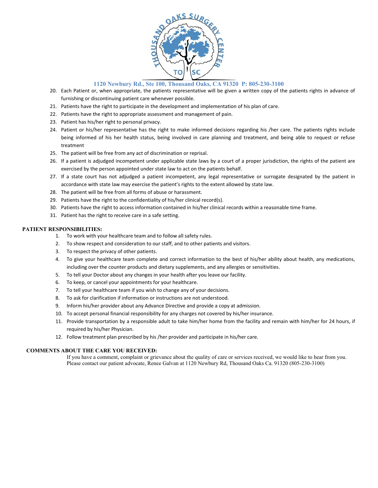

- 20. Each Patient or, when appropriate, the patients representative will be given a written copy of the patients rights in advance of furnishing or discontinuing patient care whenever possible.
- 21. Patients have the right to participate in the development and implementation of his plan of care.
- 22. Patients have the right to appropriate assessment and management of pain.
- 23. Patient has his/her right to personal privacy.
- 24. Patient or his/her representative has the right to make informed decisions regarding his /her care. The patients rights include being informed of his her health status, being involved in care planning and treatment, and being able to request or refuse treatment
- 25. The patient will be free from any act of discrimination or reprisal.
- 26. If a patient is adjudged incompetent under applicable state laws by a court of a proper jurisdiction, the rights of the patient are exercised by the person appointed under state law to act on the patients behalf.
- 27. If a state court has not adjudged a patient incompetent, any legal representative or surrogate designated by the patient in accordance with state law may exercise the patient's rights to the extent allowed by state law.
- 28. The patient will be free from all forms of abuse or harassment.
- 29. Patients have the right to the confidentiality of his/her clinical record(s).
- 30. Patients have the right to access information contained in his/her clinical records within a reasonable time frame.
- 31. Patient has the right to receive care in a safe setting.

#### **PATIENT RESPONSIBILITIES:**

- 1. To work with your healthcare team and to follow all safety rules.
- 2. To show respect and consideration to our staff, and to other patients and visitors.
- 3. To respect the privacy of other patients.
- 4. To give your healthcare team complete and correct information to the best of his/her ability about health, any medications, including over the counter products and dietary supplements, and any allergies or sensitivities.
- 5. To tell your Doctor about any changes in your health after you leave our facility.
- 6. To keep, or cancel your appointments for your healthcare.
- 7. To tell your healthcare team if you wish to change any of your decisions.
- 8. To ask for clarification if information or instructions are not understood.
- 9. Inform his/her provider about any Advance Directive and provide a copy at admission.
- 10. To accept personal financial responsibility for any charges not covered by his/her insurance.
- 11. Provide transportation by a responsible adult to take him/her home from the facility and remain with him/her for 24 hours, if required by his/her Physician.
- 12. Follow treatment plan prescribed by his /her provider and participate in his/her care.

### **COMMENTS ABOUT THE CARE YOU RECEIVED:**

If you have a comment, complaint or grievance about the quality of care or services received, we would like to hear from you. Please contact our patient advocate, Renee Galvan at 1120 Newbury Rd, Thousand Oaks Ca. 91320 (805-230-3100)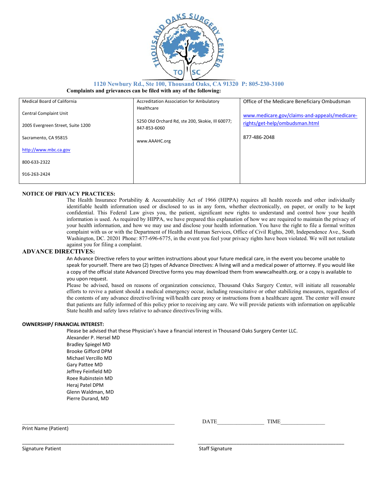

#### **1120 Newbury Rd., Ste 100, Thousand Oaks, CA 91320 P: 805-230-3100 Complaints and grievances can be filed with any of the following:**

| <b>Medical Board of California</b> | Accreditation Association for Ambulatory                         | Office of the Medicare Beneficiary Ombudsman  |
|------------------------------------|------------------------------------------------------------------|-----------------------------------------------|
| <b>Central Complaint Unit</b>      | Healthcare                                                       | www.medicare.gov/claims-and-appeals/medicare- |
| 2005 Evergreen Street, Suite 1200  | 5250 Old Orchard Rd, ste 200, Skokie, Ill 60077;<br>847-853-6060 | rights/get-help/ombudsman.html                |
| Sacramento, CA 95815               | www.AAAHC.org                                                    | 877-486-2048                                  |
| http://www.mbc.ca.gov              |                                                                  |                                               |
| 800-633-2322                       |                                                                  |                                               |
| 916-263-2424                       |                                                                  |                                               |

#### **NOTICE OF PRIVACY PRACTICES:**

The Health Insurance Portability & Accountability Act of 1966 (HIPPA) requires all health records and other individually identifiable health information used or disclosed to us in any form, whether electronically, on paper, or orally to be kept confidential. This Federal Law gives you, the patient, significant new rights to understand and control how your health information is used. As required by HIPPA, we have prepared this explanation of how we are required to maintain the privacy of your health information, and how we may use and disclose your health information. You have the right to file a formal written complaint with us or with the Department of Health and Human Services, Office of Civil Rights, 200, Independence Ave., South Washington, DC. 20201 Phone: 877-696-6775, in the event you feel your privacy rights have been violated. We will not retaliate against you for filing a complaint.

#### **ADVANCE DIRECTIVES:**

An Advance Directive refers to your written instructions about your future medical care, in the event you become unable to speak for yourself. There are two (2) types of Advance Directives: A living will and a medical power of attorney. If you would like a copy of the official state Advanced Directive forms you may download them from wwwcalhealth.org. or a copy is available to you upon request.

Please be advised, based on reasons of organization conscience, Thousand Oaks Surgery Center, will initiate all reasonable efforts to revive a patient should a medical emergency occur, including resuscitative or other stabilizing measures, regardless of the contents of any advance directive/living will/health care proxy or instructions from a healthcare agent. The center will ensure that patients are fully informed of this policy prior to receiving any care. We will provide patients with information on applicable State health and safety laws relative to advance directives/living wills.

#### **OWNERSHIP/ FINANCIAL INTEREST:**

Please be advised that these Physician's have a financial interest in Thousand Oaks Surgery Center LLC.

\_\_\_\_\_\_\_\_\_\_\_\_\_\_\_\_\_\_\_\_\_\_\_\_\_\_\_\_\_\_\_\_\_\_\_\_\_\_\_\_\_\_\_\_\_\_\_\_\_\_\_\_\_\_\_ \_\_\_\_\_\_\_\_\_\_\_\_\_\_\_\_\_\_\_\_\_\_\_\_\_\_\_\_\_\_\_\_\_\_\_\_\_\_\_\_\_\_\_\_\_\_\_\_\_\_\_\_\_

Alexander P. Hersel MD Bradley Spiegel MD Brooke Gifford DPM Michael Vercillo MD Gary Pattee MD Jeffrey Feinfield MD Roee Rubinstein MD Heraj Patel DPM Glenn Waldman, MD Pierre Durand, MD

Print Name (Patient)

\_\_\_\_\_\_\_\_\_\_\_\_\_\_\_\_\_\_\_\_\_\_\_\_\_\_\_\_\_\_\_\_\_\_\_\_\_\_\_\_\_\_\_\_\_\_\_\_\_\_\_\_\_\_\_ DATE\_\_\_\_\_\_\_\_\_\_\_\_\_\_\_\_\_ TIME\_\_\_\_\_\_\_\_\_\_\_\_\_\_\_\_

Signature Patient Staff Signature Patient Staff Signature Staff Signature Staff Signature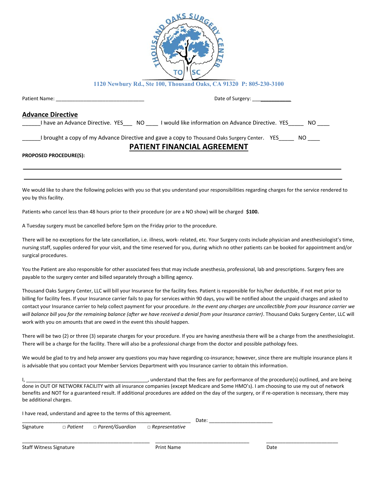

|                               | Date of Surgery: _______________                                                                                |
|-------------------------------|-----------------------------------------------------------------------------------------------------------------|
| <b>Advance Directive</b>      |                                                                                                                 |
|                               | I have an Advance Directive. YES ___ NO _____ I would like information on Advance Directive. YES ______ NO ____ |
|                               | I brought a copy of my Advance Directive and gave a copy to Thousand Oaks Surgery Center. YES ______ NO _____   |
|                               | <b>PATIENT FINANCIAL AGREEMENT</b>                                                                              |
| <b>PROPOSED PROCEDURE(S):</b> |                                                                                                                 |
|                               |                                                                                                                 |

We would like to share the following policies with you so that you understand your responsibilities regarding charges for the service rendered to you by this facility.

Patients who cancel less than 48 hours prior to their procedure (or are a NO show) will be charged **\$100.**

A Tuesday surgery must be cancelled before 5pm on the Friday prior to the procedure.

There will be no exceptions for the late cancellation, i.e. illness, work-related, etc. Your Surgery costs include physician and anesthesiologist's time, nursing staff, supplies ordered for your visit, and the time reserved for you, during which no other patients can be booked for appointment and/or surgical procedures.

You the Patient are also responsible for other associated fees that may include anesthesia, professional, lab and prescriptions. Surgery fees are payable to the surgery center and billed separately through a billing agency.

Thousand Oaks Surgery Center, LLC will bill your Insurance for the facility fees. Patient is responsible for his/her deductible, if not met prior to billing for facility fees. If your Insurance carrier fails to pay for services within 90 days, you will be notified about the unpaid charges and asked to contact your Insurance carrier to help collect payment for your procedure. *In the event any charges are uncollectible from your Insurance carrier we will balance bill you for the remaining balance (after we have received a denial from your Insurance carrier)*. Thousand Oaks Surgery Center, LLC will work with you on amounts that are owed in the event this should happen.

There will be two (2) or three (3) separate charges for your procedure. If you are having anesthesia there will be a charge from the anesthesiologist. There will be a charge for the facility. There will also be a professional charge from the doctor and possible pathology fees.

We would be glad to try and help answer any questions you may have regarding co-insurance; however, since there are multiple insurance plans it is advisable that you contact your Member Services Department with you Insurance carrier to obtain this information.

I, \_\_\_\_\_\_\_\_\_\_\_\_\_\_\_\_\_\_\_\_\_\_\_\_\_\_\_\_\_\_\_\_\_\_\_\_\_\_\_\_\_\_\_\_, understand that the fees are for performance of the procedure(s) outlined, and are being done in OUT OF NETWORK FACILITY with all insurance companies (except Medicare and Some HMO's). I am choosing to use my out of network benefits and NOT for a guaranteed result. If additional procedures are added on the day of the surgery, or if re-operation is necessary, there may be additional charges.

I have read, understand and agree to the terms of this agreement.

|                                |                                                             |                   | Date: |      |  |
|--------------------------------|-------------------------------------------------------------|-------------------|-------|------|--|
| Signature                      | $\Box$ Patient $\Box$ Parent/Guardian $\Box$ Representative |                   |       |      |  |
| <b>Staff Witness Signature</b> |                                                             | <b>Print Name</b> |       | Date |  |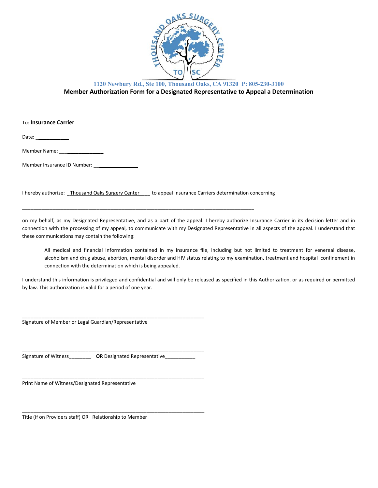

### **1120 Newbury Rd., Ste 100, Thousand Oaks, CA 91320 P: 805-230-3100 Member Authorization Form for a Designated Representative to Appeal a Determination**

To: **Insurance Carrier**

Date:  $\overline{\phantom{a}}$ 

Member Name:

Member Insurance ID Number: \_\_\_\_\_\_\_\_\_\_\_\_\_\_\_\_\_

I hereby authorize: *\_*Thousand Oaks Surgery Center*\_\_\_\_* to appeal Insurance Carriers determination concerning

\_\_\_\_\_\_\_\_\_\_\_\_\_\_\_\_\_\_\_\_\_\_\_\_\_\_\_\_\_\_\_\_\_\_\_\_\_\_\_\_\_\_\_\_\_\_\_\_\_\_\_\_\_\_\_\_\_\_\_\_\_\_\_\_\_\_\_\_\_\_\_\_\_\_\_\_\_\_\_\_\_\_\_\_

on my behalf, as my Designated Representative, and as a part of the appeal. I hereby authorize Insurance Carrier in its decision letter and in connection with the processing of my appeal, to communicate with my Designated Representative in all aspects of the appeal. I understand that these communications may contain the following:

All medical and financial information contained in my insurance file, including but not limited to treatment for venereal disease, alcoholism and drug abuse, abortion, mental disorder and HIV status relating to my examination, treatment and hospital confinement in connection with the determination which is being appealed.

I understand this information is privileged and confidential and will only be released as specified in this Authorization, or as required or permitted by law. This authorization is valid for a period of one year.

Signature of Member or Legal Guardian/Representative

Signature of Witness **OR** Designated Representative

\_\_\_\_\_\_\_\_\_\_\_\_\_\_\_\_\_\_\_\_\_\_\_\_\_\_\_\_\_\_\_\_\_\_\_\_\_\_\_\_\_\_\_\_\_\_\_\_\_\_\_\_\_\_\_\_\_\_\_\_\_\_\_\_\_\_

\_\_\_\_\_\_\_\_\_\_\_\_\_\_\_\_\_\_\_\_\_\_\_\_\_\_\_\_\_\_\_\_\_\_\_\_\_\_\_\_\_\_\_\_\_\_\_\_\_\_\_\_\_\_\_\_\_\_\_\_\_\_\_\_\_\_

\_\_\_\_\_\_\_\_\_\_\_\_\_\_\_\_\_\_\_\_\_\_\_\_\_\_\_\_\_\_\_\_\_\_\_\_\_\_\_\_\_\_\_\_\_\_\_\_\_\_\_\_\_\_\_\_\_\_\_\_\_\_\_\_\_\_

\_\_\_\_\_\_\_\_\_\_\_\_\_\_\_\_\_\_\_\_\_\_\_\_\_\_\_\_\_\_\_\_\_\_\_\_\_\_\_\_\_\_\_\_\_\_\_\_\_\_\_\_\_\_\_\_\_\_\_\_\_\_\_\_\_\_

Print Name of Witness/Designated Representative

Title (if on Providers staff) OR Relationship to Member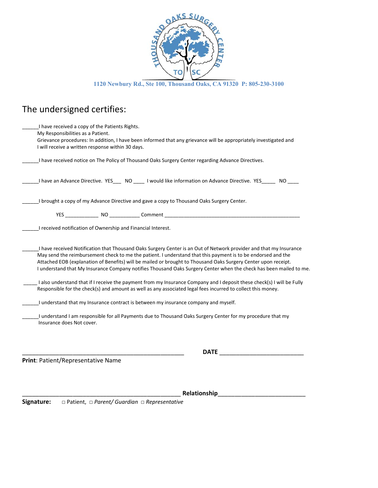

**1120 Newbury Rd., Ste 100, Thousand Oaks, CA 91320 P: 805-230-3100** 

# The undersigned certifies:

| I have received a copy of the Patients Rights.<br>My Responsibilities as a Patient.<br>Grievance procedures: In addition, I have been informed that any grievance will be appropriately investigated and<br>I will receive a written response within 30 days.                                                                                                                                                                                                                                                                                                                                                                                                                                                        |
|----------------------------------------------------------------------------------------------------------------------------------------------------------------------------------------------------------------------------------------------------------------------------------------------------------------------------------------------------------------------------------------------------------------------------------------------------------------------------------------------------------------------------------------------------------------------------------------------------------------------------------------------------------------------------------------------------------------------|
| I have received notice on The Policy of Thousand Oaks Surgery Center regarding Advance Directives.                                                                                                                                                                                                                                                                                                                                                                                                                                                                                                                                                                                                                   |
| I have an Advance Directive. YES___ NO ____ I would like information on Advance Directive. YES_____ NO                                                                                                                                                                                                                                                                                                                                                                                                                                                                                                                                                                                                               |
| I brought a copy of my Advance Directive and gave a copy to Thousand Oaks Surgery Center.                                                                                                                                                                                                                                                                                                                                                                                                                                                                                                                                                                                                                            |
|                                                                                                                                                                                                                                                                                                                                                                                                                                                                                                                                                                                                                                                                                                                      |
| I received notification of Ownership and Financial Interest.                                                                                                                                                                                                                                                                                                                                                                                                                                                                                                                                                                                                                                                         |
| I have received Notification that Thousand Oaks Surgery Center is an Out of Network provider and that my Insurance<br>May send the reimbursement check to me the patient. I understand that this payment is to be endorsed and the<br>Attached EOB (explanation of Benefits) will be mailed or brought to Thousand Oaks Surgery Center upon receipt.<br>I understand that My Insurance Company notifies Thousand Oaks Surgery Center when the check has been mailed to me.<br>I also understand that if I receive the payment from my Insurance Company and I deposit these check(s) I will be Fully<br>Responsible for the check(s) and amount as well as any associated legal fees incurred to collect this money. |
| I understand that my Insurance contract is between my insurance company and myself.                                                                                                                                                                                                                                                                                                                                                                                                                                                                                                                                                                                                                                  |
| I understand I am responsible for all Payments due to Thousand Oaks Surgery Center for my procedure that my<br>Insurance does Not cover.                                                                                                                                                                                                                                                                                                                                                                                                                                                                                                                                                                             |
| <b>DATE</b>                                                                                                                                                                                                                                                                                                                                                                                                                                                                                                                                                                                                                                                                                                          |
| Print: Patient/Representative Name                                                                                                                                                                                                                                                                                                                                                                                                                                                                                                                                                                                                                                                                                   |

\_\_\_\_\_\_\_\_\_\_\_\_\_\_\_\_\_\_\_\_\_\_\_\_\_\_\_\_\_\_\_\_\_\_\_\_\_\_\_\_\_\_\_\_\_\_\_ **Relationship**\_\_\_\_\_\_\_\_\_\_\_\_\_\_\_\_\_\_\_\_\_\_\_\_\_\_ **Signature:** □ Patient, □ *Parent/ Guardian □ Representative*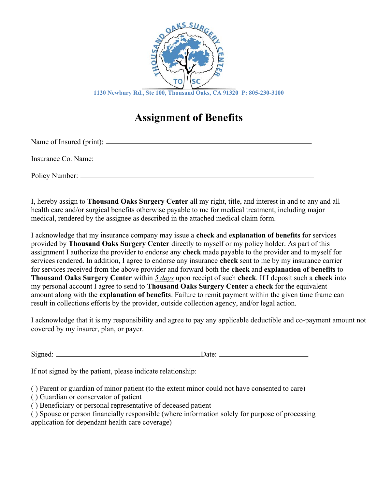

# **Assignment of Benefits**

Name of Insured (print):

Insurance Co. Name:

Policy Number: 2008. The Manual Account of the Manual Account of the Manual Account of the Manual Account of the Manual Account of the Manual Account of the Manual Account of the Manual Account of the Manual Account of the

I, hereby assign to **Thousand Oaks Surgery Center** all my right, title, and interest in and to any and all health care and/or surgical benefits otherwise payable to me for medical treatment, including major medical, rendered by the assignee as described in the attached medical claim form.

I acknowledge that my insurance company may issue a **check** and **explanation of benefits** for services provided by **Thousand Oaks Surgery Center** directly to myself or my policy holder. As part of this assignment I authorize the provider to endorse any **check** made payable to the provider and to myself for services rendered. In addition, I agree to endorse any insurance **check** sent to me by my insurance carrier for services received from the above provider and forward both the **check** and **explanation of benefits** to **Thousand Oaks Surgery Center** within *5 days* upon receipt of such **check**. If I deposit such a **check** into my personal account I agree to send to **Thousand Oaks Surgery Center** a **check** for the equivalent amount along with the **explanation of benefits**. Failure to remit payment within the given time frame can result in collections efforts by the provider, outside collection agency, and/or legal action.

I acknowledge that it is my responsibility and agree to pay any applicable deductible and co-payment amount not covered by my insurer, plan, or payer.

Signed: Date:

If not signed by the patient, please indicate relationship:

( ) Parent or guardian of minor patient (to the extent minor could not have consented to care)

- ( ) Guardian or conservator of patient
- ( ) Beneficiary or personal representative of deceased patient

( ) Spouse or person financially responsible (where information solely for purpose of processing application for dependant health care coverage)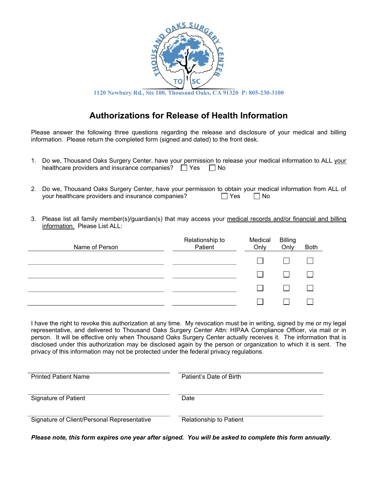

## **Authorizations for Release of Health Information**

Please answer the following three questions regarding the release and disclosure of your medical and billing information. Please return the completed form (signed and dated) to the front desk.

- 1. Do we, Thousand Oaks Surgery Center, have your permission to release your medical information to ALL your healthcare providers and insurance companies?  $\Box$  Yes  $\Box$  No
- 2. Do we, Thousand Oaks Surgery Center, have your permission to obtain your medical information from ALL of your healthcare providers and insurance companies?  $\Box$  Yes  $\Box$  No
- 3. Please list all family member(s)/guardian(s) that may access your medical records and/or financial and billing information. Please List ALL:

| Name of Person | Relationship to<br>Patient | Medical<br>Only | <b>Billing</b><br>Only | <b>Both</b> |
|----------------|----------------------------|-----------------|------------------------|-------------|
|                |                            |                 |                        |             |
|                |                            |                 |                        |             |
|                |                            |                 |                        |             |
|                |                            |                 |                        |             |

I have the right to revoke this authorization at any time. My revocation must be in writing, signed by me or my legal representative, and delivered to Thousand Oaks Surgery Center Attn: HIPAA Compliance Officer, via mail or in person. It will be effective only when Thousand Oaks Surgery Center actually receives it. The information that is disclosed under this authorization may be disclosed again by the person or organization to which it is sent. The privacy of this information may not be protected under the federal privacy regulations.

| <b>Printed Patient Name</b>                 | Patient's Date of Birth |  |
|---------------------------------------------|-------------------------|--|
| Signature of Patient                        | Date                    |  |
| Signature of Client/Personal Representative | Relationship to Patient |  |

*Please note, this form expires one year after signed. You will be asked to complete this form annually.*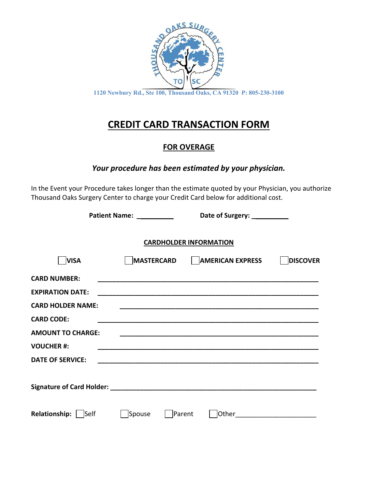

# **CREDIT CARD TRANSACTION FORM**

## **FOR OVERAGE**

## *Your procedure has been estimated by your physician.*

In the Event your Procedure takes longer than the estimate quoted by your Physician, you authorize Thousand Oaks Surgery Center to charge your Credit Card below for additional cost.

| Patient Name: __________ |        | Date of Surgery: __________                  |          |
|--------------------------|--------|----------------------------------------------|----------|
|                          |        | <b>CARDHOLDER INFORMATION</b>                |          |
| <b>VISA</b>              |        | MASTERCARD AMERICAN EXPRESS                  | DISCOVER |
| <b>CARD NUMBER:</b>      |        |                                              |          |
| <b>EXPIRATION DATE:</b>  |        |                                              |          |
| <b>CARD HOLDER NAME:</b> |        |                                              |          |
| <b>CARD CODE:</b>        |        |                                              |          |
| <b>AMOUNT TO CHARGE:</b> |        |                                              |          |
| <b>VOUCHER #:</b>        |        |                                              |          |
| <b>DATE OF SERVICE:</b>  |        |                                              |          |
|                          |        |                                              |          |
| Relationship:   Self     | Spouse | Parent<br> Other____________________________ |          |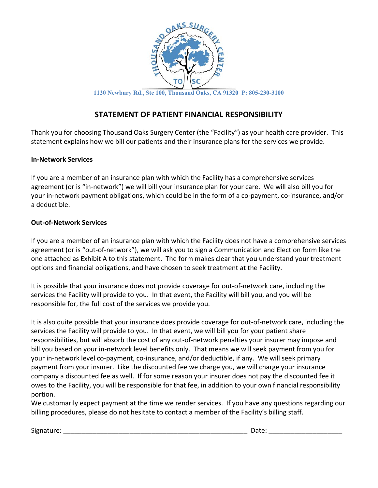

### **STATEMENT OF PATIENT FINANCIAL RESPONSIBILITY**

Thank you for choosing Thousand Oaks Surgery Center (the "Facility") as your health care provider. This statement explains how we bill our patients and their insurance plans for the services we provide.

### **In-Network Services**

If you are a member of an insurance plan with which the Facility has a comprehensive services agreement (or is "in-network") we will bill your insurance plan for your care. We will also bill you for your in-network payment obligations, which could be in the form of a co-payment, co-insurance, and/or a deductible.

### **Out-of-Network Services**

If you are a member of an insurance plan with which the Facility does not have a comprehensive services agreement (or is "out-of-network"), we will ask you to sign a Communication and Election form like the one attached as Exhibit A to this statement. The form makes clear that you understand your treatment options and financial obligations, and have chosen to seek treatment at the Facility.

It is possible that your insurance does not provide coverage for out-of-network care, including the services the Facility will provide to you. In that event, the Facility will bill you, and you will be responsible for, the full cost of the services we provide you.

It is also quite possible that your insurance does provide coverage for out-of-network care, including the services the Facility will provide to you. In that event, we will bill you for your patient share responsibilities, but will absorb the cost of any out-of-network penalties your insurer may impose and bill you based on your in-network level benefits only. That means we will seek payment from you for your in-network level co-payment, co-insurance, and/or deductible, if any. We will seek primary payment from your insurer. Like the discounted fee we charge you, we will charge your insurance company a discounted fee as well. If for some reason your insurer does not pay the discounted fee it owes to the Facility, you will be responsible for that fee, in addition to your own financial responsibility portion.

We customarily expect payment at the time we render services. If you have any questions regarding our billing procedures, please do not hesitate to contact a member of the Facility's billing staff.

Signature: \_\_\_\_\_\_\_\_\_\_\_\_\_\_\_\_\_\_\_\_\_\_\_\_\_\_\_\_\_\_\_\_\_\_\_\_\_\_\_\_\_\_\_\_\_\_\_\_\_\_ Date: \_\_\_\_\_\_\_\_\_\_\_\_\_\_\_\_\_\_\_\_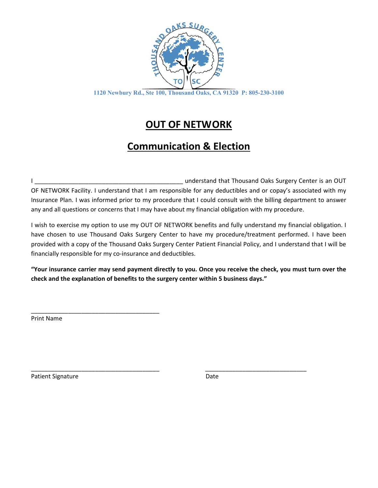

# **OUT OF NETWORK**

# **Communication & Election**

I \_\_\_\_\_\_\_\_\_\_\_\_\_\_\_\_\_\_\_\_\_\_\_\_\_\_\_\_\_\_\_\_\_\_\_\_\_\_\_\_\_\_\_\_ understand that Thousand Oaks Surgery Center is an OUT OF NETWORK Facility. I understand that I am responsible for any deductibles and or copay's associated with my Insurance Plan. I was informed prior to my procedure that I could consult with the billing department to answer any and all questions or concerns that I may have about my financial obligation with my procedure.

I wish to exercise my option to use my OUT OF NETWORK benefits and fully understand my financial obligation. I have chosen to use Thousand Oaks Surgery Center to have my procedure/treatment performed. I have been provided with a copy of the Thousand Oaks Surgery Center Patient Financial Policy, and I understand that I will be financially responsible for my co-insurance and deductibles.

**"Your insurance carrier may send payment directly to you. Once you receive the check, you must turn over the check and the explanation of benefits to the surgery center within 5 business days."** 

\_\_\_\_\_\_\_\_\_\_\_\_\_\_\_\_\_\_\_\_\_\_\_\_\_\_\_\_\_\_\_\_\_\_\_\_\_\_ \_\_\_\_\_\_\_\_\_\_\_\_\_\_\_\_\_\_\_\_\_\_\_\_\_\_\_\_\_\_

Print Name

\_\_\_\_\_\_\_\_\_\_\_\_\_\_\_\_\_\_\_\_\_\_\_\_\_\_\_\_\_\_\_\_\_\_\_\_\_\_

Patient Signature Date